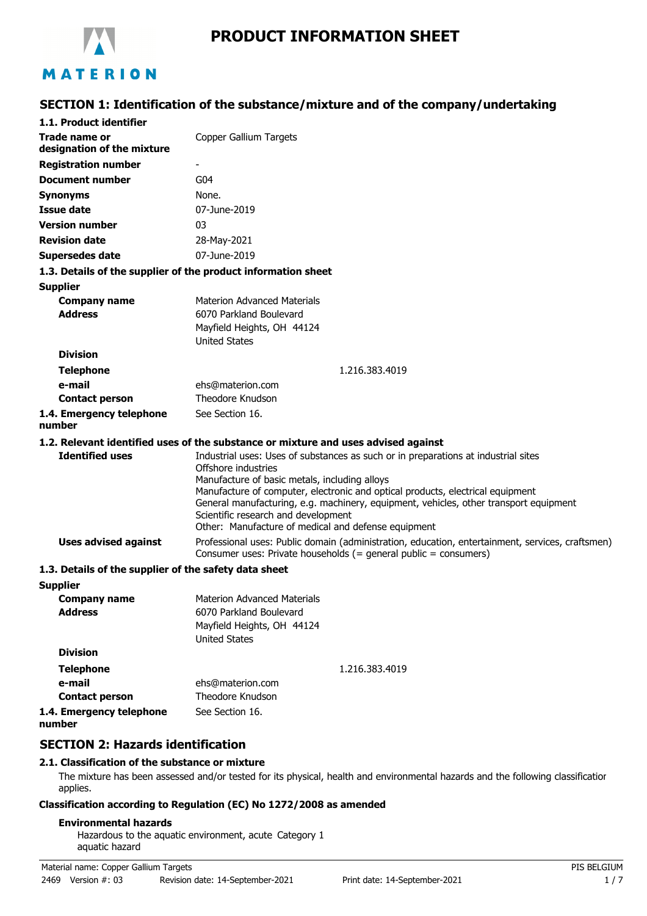

# **PRODUCT INFORMATION SHEET**

## **SECTION 1: Identification of the substance/mixture and of the company/undertaking**

| 1.1. Product identifier                               |                                                                                                                                                                         |  |
|-------------------------------------------------------|-------------------------------------------------------------------------------------------------------------------------------------------------------------------------|--|
| Trade name or                                         | Copper Gallium Targets                                                                                                                                                  |  |
| designation of the mixture                            |                                                                                                                                                                         |  |
| <b>Registration number</b>                            |                                                                                                                                                                         |  |
| <b>Document number</b>                                | G <sub>04</sub>                                                                                                                                                         |  |
| <b>Synonyms</b>                                       | None.                                                                                                                                                                   |  |
| <b>Issue date</b>                                     | 07-June-2019                                                                                                                                                            |  |
| <b>Version number</b>                                 | 03                                                                                                                                                                      |  |
| <b>Revision date</b>                                  | 28-May-2021                                                                                                                                                             |  |
| <b>Supersedes date</b>                                | 07-June-2019                                                                                                                                                            |  |
|                                                       | 1.3. Details of the supplier of the product information sheet                                                                                                           |  |
| <b>Supplier</b>                                       |                                                                                                                                                                         |  |
| <b>Company name</b>                                   | Materion Advanced Materials                                                                                                                                             |  |
| <b>Address</b>                                        | 6070 Parkland Boulevard                                                                                                                                                 |  |
|                                                       | Mayfield Heights, OH 44124                                                                                                                                              |  |
| <b>Division</b>                                       | <b>United States</b>                                                                                                                                                    |  |
|                                                       |                                                                                                                                                                         |  |
| <b>Telephone</b>                                      | 1.216.383.4019                                                                                                                                                          |  |
| e-mail<br><b>Contact person</b>                       | ehs@materion.com<br>Theodore Knudson                                                                                                                                    |  |
|                                                       | See Section 16.                                                                                                                                                         |  |
| 1.4. Emergency telephone<br>number                    |                                                                                                                                                                         |  |
|                                                       | 1.2. Relevant identified uses of the substance or mixture and uses advised against                                                                                      |  |
| <b>Identified uses</b>                                | Industrial uses: Uses of substances as such or in preparations at industrial sites                                                                                      |  |
|                                                       | Offshore industries                                                                                                                                                     |  |
|                                                       | Manufacture of basic metals, including alloys                                                                                                                           |  |
|                                                       | Manufacture of computer, electronic and optical products, electrical equipment<br>General manufacturing, e.g. machinery, equipment, vehicles, other transport equipment |  |
|                                                       | Scientific research and development                                                                                                                                     |  |
|                                                       | Other: Manufacture of medical and defense equipment                                                                                                                     |  |
| <b>Uses advised against</b>                           | Professional uses: Public domain (administration, education, entertainment, services, craftsmen)<br>Consumer uses: Private households $(=$ general public = consumers)  |  |
| 1.3. Details of the supplier of the safety data sheet |                                                                                                                                                                         |  |
| <b>Supplier</b>                                       |                                                                                                                                                                         |  |
| <b>Company name</b>                                   | <b>Materion Advanced Materials</b>                                                                                                                                      |  |
| <b>Address</b>                                        | 6070 Parkland Boulevard                                                                                                                                                 |  |
|                                                       | Mayfield Heights, OH 44124                                                                                                                                              |  |
| <b>Division</b>                                       | <b>United States</b>                                                                                                                                                    |  |
|                                                       |                                                                                                                                                                         |  |
| <b>Telephone</b><br>e-mail                            | 1.216.383.4019                                                                                                                                                          |  |
| <b>Contact person</b>                                 | ehs@materion.com<br>Theodore Knudson                                                                                                                                    |  |
| 1.4. Emergency telephone                              | See Section 16.                                                                                                                                                         |  |
|                                                       |                                                                                                                                                                         |  |

**number**

## **SECTION 2: Hazards identification**

#### **2.1. Classification of the substance or mixture**

The mixture has been assessed and/or tested for its physical, health and environmental hazards and the following classification applies.

#### **Classification according to Regulation (EC) No 1272/2008 as amended**

### **Environmental hazards**

Hazardous to the aquatic environment, acute Category 1 aquatic hazard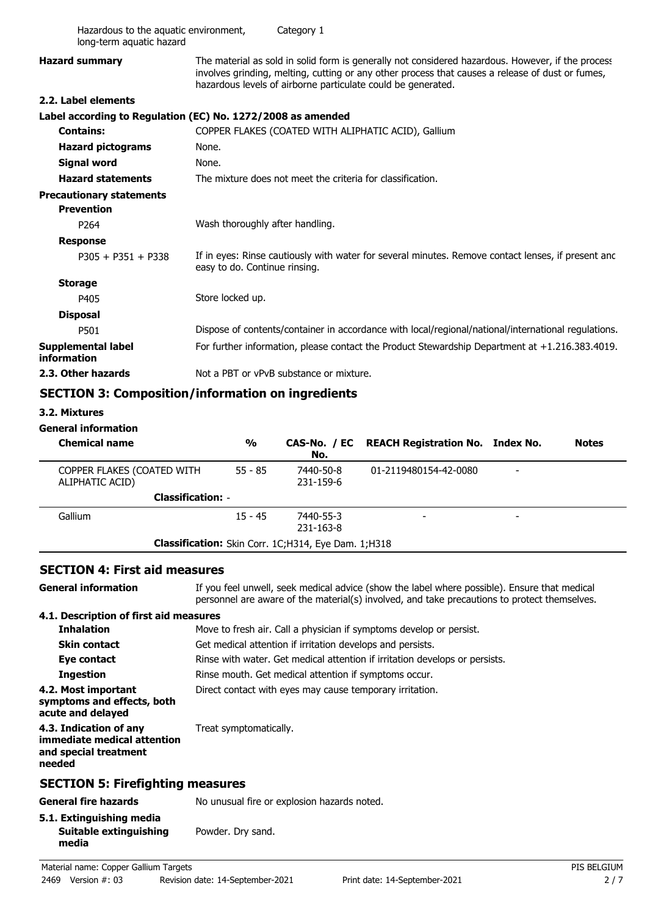| Hazardous to the aquatic environment,<br>long-term aquatic hazard |                                                                                                                                                                                                                                                                       | Category 1                                                 |                                                     |  |              |
|-------------------------------------------------------------------|-----------------------------------------------------------------------------------------------------------------------------------------------------------------------------------------------------------------------------------------------------------------------|------------------------------------------------------------|-----------------------------------------------------|--|--------------|
| <b>Hazard summary</b>                                             | The material as sold in solid form is generally not considered hazardous. However, if the process<br>involves grinding, melting, cutting or any other process that causes a release of dust or fumes,<br>hazardous levels of airborne particulate could be generated. |                                                            |                                                     |  |              |
| 2.2. Label elements                                               |                                                                                                                                                                                                                                                                       |                                                            |                                                     |  |              |
| Label according to Regulation (EC) No. 1272/2008 as amended       |                                                                                                                                                                                                                                                                       |                                                            |                                                     |  |              |
| <b>Contains:</b>                                                  |                                                                                                                                                                                                                                                                       |                                                            | COPPER FLAKES (COATED WITH ALIPHATIC ACID), Gallium |  |              |
| <b>Hazard pictograms</b>                                          | None.                                                                                                                                                                                                                                                                 |                                                            |                                                     |  |              |
| <b>Signal word</b>                                                | None.                                                                                                                                                                                                                                                                 |                                                            |                                                     |  |              |
| <b>Hazard statements</b>                                          |                                                                                                                                                                                                                                                                       | The mixture does not meet the criteria for classification. |                                                     |  |              |
| <b>Precautionary statements</b><br><b>Prevention</b>              |                                                                                                                                                                                                                                                                       |                                                            |                                                     |  |              |
| P <sub>264</sub>                                                  | Wash thoroughly after handling.                                                                                                                                                                                                                                       |                                                            |                                                     |  |              |
| <b>Response</b>                                                   |                                                                                                                                                                                                                                                                       |                                                            |                                                     |  |              |
| $P305 + P351 + P338$                                              | If in eyes: Rinse cautiously with water for several minutes. Remove contact lenses, if present and<br>easy to do. Continue rinsing.                                                                                                                                   |                                                            |                                                     |  |              |
| <b>Storage</b>                                                    |                                                                                                                                                                                                                                                                       |                                                            |                                                     |  |              |
| P405                                                              | Store locked up.                                                                                                                                                                                                                                                      |                                                            |                                                     |  |              |
| <b>Disposal</b>                                                   |                                                                                                                                                                                                                                                                       |                                                            |                                                     |  |              |
| P501                                                              | Dispose of contents/container in accordance with local/regional/national/international regulations.                                                                                                                                                                   |                                                            |                                                     |  |              |
| <b>Supplemental label</b><br>information                          | For further information, please contact the Product Stewardship Department at +1.216.383.4019.                                                                                                                                                                        |                                                            |                                                     |  |              |
| 2.3. Other hazards                                                | Not a PBT or vPvB substance or mixture.                                                                                                                                                                                                                               |                                                            |                                                     |  |              |
| <b>SECTION 3: Composition/information on ingredients</b>          |                                                                                                                                                                                                                                                                       |                                                            |                                                     |  |              |
| 3.2. Mixtures                                                     |                                                                                                                                                                                                                                                                       |                                                            |                                                     |  |              |
| <b>General information</b>                                        |                                                                                                                                                                                                                                                                       |                                                            |                                                     |  |              |
| <b>Chemical name</b>                                              | $\frac{0}{0}$                                                                                                                                                                                                                                                         | CAS-No. / EC<br>No.                                        | <b>REACH Registration No. Index No.</b>             |  | <b>Notes</b> |
| COPPER FLAKES (COATED WITH<br>ALIPHATIC ACID)                     | $55 - 85$                                                                                                                                                                                                                                                             | 7440-50-8<br>231-159-6                                     | 01-2119480154-42-0080                               |  |              |
|                                                                   | <b>Classification: -</b>                                                                                                                                                                                                                                              |                                                            |                                                     |  |              |
| Gallium                                                           | $15 - 45$                                                                                                                                                                                                                                                             | 7440-55-3                                                  |                                                     |  |              |

### **SECTION 4: First aid measures**

If you feel unwell, seek medical advice (show the label where possible). Ensure that medical personnel are aware of the material(s) involved, and take precautions to protect themselves. **General information 4.1. Description of first aid measures Inhalation** Move to fresh air. Call a physician if symptoms develop or persist. **Skin contact** Get medical attention if irritation develops and persists. **Eye contact** Rinse with water. Get medical attention if irritation develops or persists. **Ingestion** Rinse mouth. Get medical attention if symptoms occur. **4.2. Most important** Direct contact with eyes may cause temporary irritation. **symptoms and effects, both acute and delayed 4.3. Indication of any** Treat symptomatically. **immediate medical attention and special treatment needed SECTION 5: Firefighting measures**

**Classification:** Skin Corr. 1C;H314, Eye Dam. 1;H318

-Gallium -7440-55-3

231-163-8

## **General fire hazards** No unusual fire or explosion hazards noted. **5.1. Extinguishing media Suitable extinguishing** Powder. Dry sand. **media**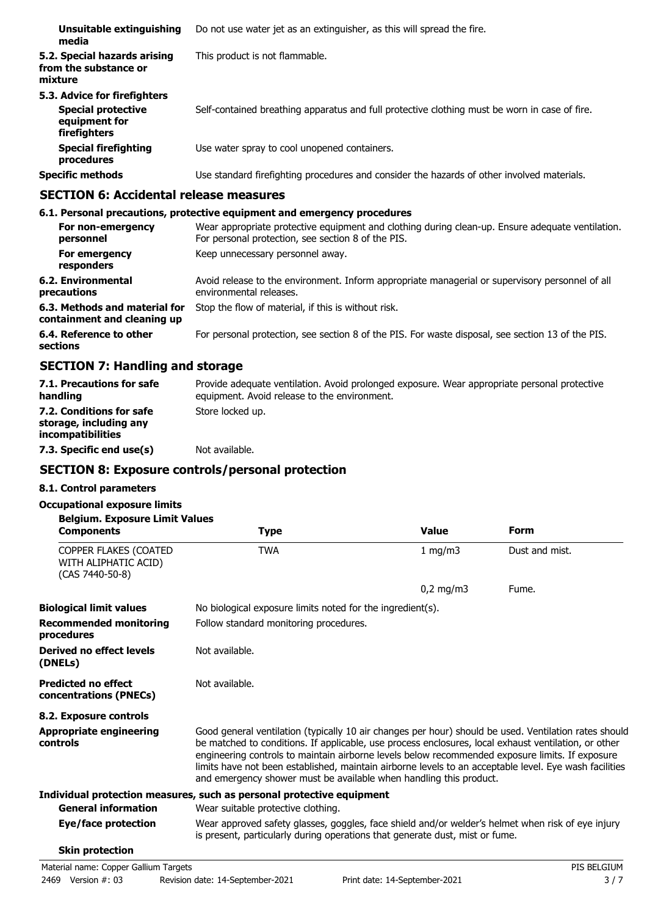| Unsuitable extinguishing<br>media                                                          | Do not use water jet as an extinguisher, as this will spread the fire.                        |
|--------------------------------------------------------------------------------------------|-----------------------------------------------------------------------------------------------|
| 5.2. Special hazards arising<br>from the substance or<br>mixture                           | This product is not flammable.                                                                |
| 5.3. Advice for firefighters<br><b>Special protective</b><br>equipment for<br>firefighters | Self-contained breathing apparatus and full protective clothing must be worn in case of fire. |
| <b>Special firefighting</b><br>procedures                                                  | Use water spray to cool unopened containers.                                                  |
| <b>Specific methods</b>                                                                    | Use standard firefighting procedures and consider the hazards of other involved materials.    |

## **SECTION 6: Accidental release measures**

#### **6.1. Personal precautions, protective equipment and emergency procedures** Wear appropriate protective equipment and clothing during clean-up. Ensure adequate ventilation. For personal protection, see section 8 of the PIS. **For non-emergency personnel For emergency** Keep unnecessary personnel away. **responders** Avoid release to the environment. Inform appropriate managerial or supervisory personnel of all environmental releases. **6.2. Environmental precautions 6.3. Methods and material for** Stop the flow of material, if this is without risk. **containment and cleaning up 6.4. Reference to other** For personal protection, see section 8 of the PIS. For waste disposal, see section 13 of the PIS. **sections**

## **SECTION 7: Handling and storage**

| 7.1. Precautions for safe<br>handling                                          | Provide adequate ventilation. Avoid prolonged exposure. Wear appropriate personal protective<br>equipment. Avoid release to the environment. |
|--------------------------------------------------------------------------------|----------------------------------------------------------------------------------------------------------------------------------------------|
| 7.2. Conditions for safe<br>storage, including any<br><i>incompatibilities</i> | Store locked up.                                                                                                                             |
| 7.3. Specific end use(s)                                                       | Not available.                                                                                                                               |

## **SECTION 8: Exposure controls/personal protection**

### **8.1. Control parameters**

### **Occupational exposure limits**

| <b>Belgium. Exposure Limit Values</b><br><b>Components</b>       | Type                                                                                                                                                                                                                                                                                                                                                                                                                                                                                             | <b>Value</b>                           | <b>Form</b>    |  |  |  |
|------------------------------------------------------------------|--------------------------------------------------------------------------------------------------------------------------------------------------------------------------------------------------------------------------------------------------------------------------------------------------------------------------------------------------------------------------------------------------------------------------------------------------------------------------------------------------|----------------------------------------|----------------|--|--|--|
| COPPER FLAKES (COATED<br>WITH ALIPHATIC ACID)<br>(CAS 7440-50-8) | <b>TWA</b>                                                                                                                                                                                                                                                                                                                                                                                                                                                                                       | 1 mg/m3                                | Dust and mist. |  |  |  |
|                                                                  |                                                                                                                                                                                                                                                                                                                                                                                                                                                                                                  | $0,2$ mg/m3                            | Fume.          |  |  |  |
| <b>Biological limit values</b>                                   | No biological exposure limits noted for the ingredient(s).                                                                                                                                                                                                                                                                                                                                                                                                                                       |                                        |                |  |  |  |
| <b>Recommended monitoring</b><br>procedures                      |                                                                                                                                                                                                                                                                                                                                                                                                                                                                                                  | Follow standard monitoring procedures. |                |  |  |  |
| Derived no effect levels<br>(DNELs)                              | Not available.                                                                                                                                                                                                                                                                                                                                                                                                                                                                                   |                                        |                |  |  |  |
| <b>Predicted no effect</b><br>concentrations (PNECs)             | Not available.                                                                                                                                                                                                                                                                                                                                                                                                                                                                                   |                                        |                |  |  |  |
| 8.2. Exposure controls                                           |                                                                                                                                                                                                                                                                                                                                                                                                                                                                                                  |                                        |                |  |  |  |
| <b>Appropriate engineering</b><br><b>controls</b>                | Good general ventilation (typically 10 air changes per hour) should be used. Ventilation rates should<br>be matched to conditions. If applicable, use process enclosures, local exhaust ventilation, or other<br>engineering controls to maintain airborne levels below recommended exposure limits. If exposure<br>limits have not been established, maintain airborne levels to an acceptable level. Eye wash facilities<br>and emergency shower must be available when handling this product. |                                        |                |  |  |  |
|                                                                  | Individual protection measures, such as personal protective equipment                                                                                                                                                                                                                                                                                                                                                                                                                            |                                        |                |  |  |  |
| <b>General information</b>                                       | Wear suitable protective clothing.                                                                                                                                                                                                                                                                                                                                                                                                                                                               |                                        |                |  |  |  |
| Eye/face protection                                              | Wear approved safety glasses, goggles, face shield and/or welder's helmet when risk of eye injury<br>is present, particularly during operations that generate dust, mist or fume.                                                                                                                                                                                                                                                                                                                |                                        |                |  |  |  |
| <b>Skin protection</b>                                           |                                                                                                                                                                                                                                                                                                                                                                                                                                                                                                  |                                        |                |  |  |  |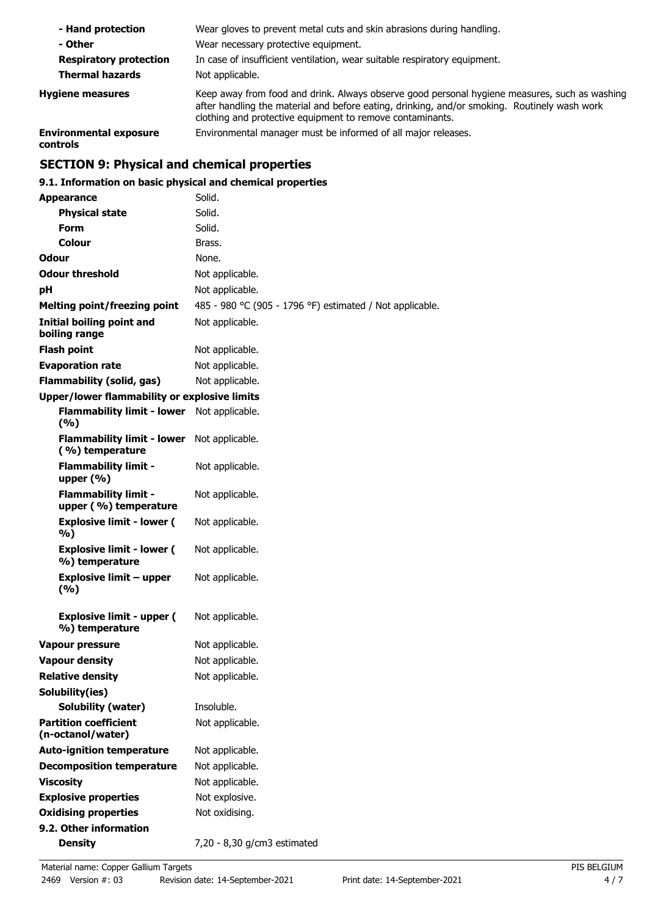| - Hand protection                         | Wear gloves to prevent metal cuts and skin abrasions during handling.                                                                                                                                                                                      |  |  |
|-------------------------------------------|------------------------------------------------------------------------------------------------------------------------------------------------------------------------------------------------------------------------------------------------------------|--|--|
| - Other                                   | Wear necessary protective equipment.                                                                                                                                                                                                                       |  |  |
| <b>Respiratory protection</b>             | In case of insufficient ventilation, wear suitable respiratory equipment.                                                                                                                                                                                  |  |  |
| <b>Thermal hazards</b>                    | Not applicable.                                                                                                                                                                                                                                            |  |  |
| <b>Hygiene measures</b>                   | Keep away from food and drink. Always observe good personal hygiene measures, such as washing<br>after handling the material and before eating, drinking, and/or smoking. Routinely wash work<br>clothing and protective equipment to remove contaminants. |  |  |
| <b>Environmental exposure</b><br>controls | Environmental manager must be informed of all major releases.                                                                                                                                                                                              |  |  |

# **SECTION 9: Physical and chemical properties**

## **9.1. Information on basic physical and chemical properties**

| <b>Appearance</b>                                    | Solid.                                                   |
|------------------------------------------------------|----------------------------------------------------------|
| <b>Physical state</b>                                | Solid.                                                   |
| <b>Form</b>                                          | Solid.                                                   |
| Colour                                               | Brass.                                                   |
| <b>Odour</b>                                         | None.                                                    |
| <b>Odour threshold</b>                               | Not applicable.                                          |
| рH                                                   | Not applicable.                                          |
| <b>Melting point/freezing point</b>                  | 485 - 980 °C (905 - 1796 °F) estimated / Not applicable. |
| <b>Initial boiling point and</b><br>boiling range    | Not applicable.                                          |
| <b>Flash point</b>                                   | Not applicable.                                          |
| <b>Evaporation rate</b>                              | Not applicable.                                          |
| <b>Flammability (solid, gas)</b>                     | Not applicable.                                          |
| <b>Upper/lower flammability or explosive limits</b>  |                                                          |
| <b>Flammability limit - lower</b><br>(%)             | Not applicable.                                          |
| <b>Flammability limit - lower</b><br>(%) temperature | Not applicable.                                          |
| <b>Flammability limit -</b><br>upper $(\% )$         | Not applicable.                                          |
| <b>Flammability limit -</b><br>upper (%) temperature | Not applicable.                                          |
| <b>Explosive limit - lower (</b><br>%)               | Not applicable.                                          |
| <b>Explosive limit - lower (</b><br>%) temperature   | Not applicable.                                          |
| <b>Explosive limit - upper</b><br>(%)                | Not applicable.                                          |
| <b>Explosive limit - upper (</b><br>%) temperature   | Not applicable.                                          |
| <b>Vapour pressure</b>                               | Not applicable.                                          |
| <b>Vapour density</b>                                | Not applicable.                                          |
| <b>Relative density</b>                              | Not applicable.                                          |
| Solubility(ies)                                      |                                                          |
| <b>Solubility (water)</b>                            | Insoluble.                                               |
| <b>Partition coefficient</b><br>(n-octanol/water)    | Not applicable.                                          |
| <b>Auto-ignition temperature</b>                     | Not applicable.                                          |
| <b>Decomposition temperature</b>                     | Not applicable.                                          |
| <b>Viscosity</b>                                     | Not applicable.                                          |
| <b>Explosive properties</b>                          | Not explosive.                                           |
| <b>Oxidising properties</b>                          | Not oxidising.                                           |
| 9.2. Other information                               |                                                          |
| <b>Density</b>                                       | 7,20 - 8,30 g/cm3 estimated                              |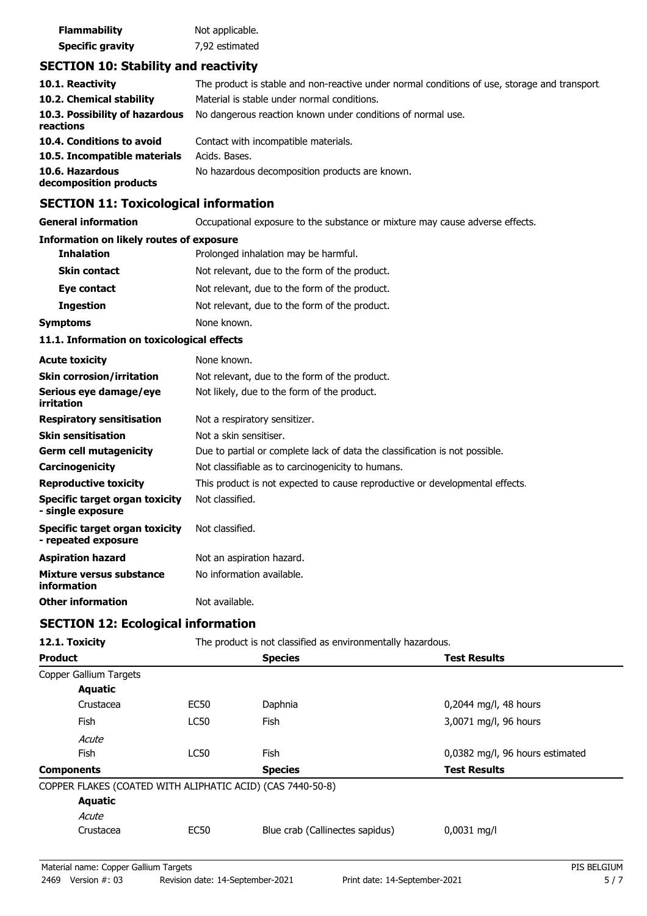| <b>Flammability</b>     | Not applicable. |
|-------------------------|-----------------|
| <b>Specific gravity</b> | 7,92 estimated  |

## **SECTION 10: Stability and reactivity**

| 10.1. Reactivity                            | The product is stable and non-reactive under normal conditions of use, storage and transport. |
|---------------------------------------------|-----------------------------------------------------------------------------------------------|
| 10.2. Chemical stability                    | Material is stable under normal conditions.                                                   |
| 10.3. Possibility of hazardous<br>reactions | No dangerous reaction known under conditions of normal use.                                   |
| 10.4. Conditions to avoid                   | Contact with incompatible materials.                                                          |
| 10.5. Incompatible materials                | Acids. Bases.                                                                                 |
| 10.6. Hazardous<br>decomposition products   | No hazardous decomposition products are known.                                                |

## **SECTION 11: Toxicological information**

**General information CCCUPATION** Occupational exposure to the substance or mixture may cause adverse effects.

### **Information on likely routes of exposure**

| <b>Inhalation</b>   | Prolonged inhalation may be harmful.          |  |
|---------------------|-----------------------------------------------|--|
| <b>Skin contact</b> | Not relevant, due to the form of the product. |  |
| Eye contact         | Not relevant, due to the form of the product. |  |
| <b>Ingestion</b>    | Not relevant, due to the form of the product. |  |
| Symptoms            | None known.                                   |  |

### **11.1. Information on toxicological effects**

| <b>Acute toxicity</b>                                 | None known.                                                                  |
|-------------------------------------------------------|------------------------------------------------------------------------------|
| <b>Skin corrosion/irritation</b>                      | Not relevant, due to the form of the product.                                |
| Serious eye damage/eye<br>irritation                  | Not likely, due to the form of the product.                                  |
| <b>Respiratory sensitisation</b>                      | Not a respiratory sensitizer.                                                |
| <b>Skin sensitisation</b>                             | Not a skin sensitiser.                                                       |
| <b>Germ cell mutagenicity</b>                         | Due to partial or complete lack of data the classification is not possible.  |
| Carcinogenicity                                       | Not classifiable as to carcinogenicity to humans.                            |
| <b>Reproductive toxicity</b>                          | This product is not expected to cause reproductive or developmental effects. |
| Specific target organ toxicity<br>- single exposure   | Not classified.                                                              |
| Specific target organ toxicity<br>- repeated exposure | Not classified.                                                              |
| <b>Aspiration hazard</b>                              | Not an aspiration hazard.                                                    |
| Mixture versus substance<br>information               | No information available.                                                    |
| <b>Other information</b>                              | Not available.                                                               |

## **SECTION 12: Ecological information**

| 12.1. Toxicity                                             |                                       | The product is not classified as environmentally hazardous. |                                 |
|------------------------------------------------------------|---------------------------------------|-------------------------------------------------------------|---------------------------------|
| <b>Product</b>                                             | <b>Species</b><br><b>Test Results</b> |                                                             |                                 |
| Copper Gallium Targets                                     |                                       |                                                             |                                 |
| <b>Aquatic</b>                                             |                                       |                                                             |                                 |
| Crustacea                                                  | EC50                                  | Daphnia                                                     | $0,2044$ mg/l, 48 hours         |
| <b>Fish</b>                                                | <b>LC50</b>                           | <b>Fish</b>                                                 | 3,0071 mg/l, 96 hours           |
| Acute                                                      |                                       |                                                             |                                 |
| <b>Fish</b>                                                | LC50                                  | <b>Fish</b>                                                 | 0,0382 mg/l, 96 hours estimated |
| <b>Components</b>                                          |                                       | <b>Species</b>                                              | <b>Test Results</b>             |
| COPPER FLAKES (COATED WITH ALIPHATIC ACID) (CAS 7440-50-8) |                                       |                                                             |                                 |
| <b>Aquatic</b>                                             |                                       |                                                             |                                 |
| Acute                                                      |                                       |                                                             |                                 |
| Crustacea                                                  | <b>EC50</b>                           | Blue crab (Callinectes sapidus)                             | $0,0031$ mg/l                   |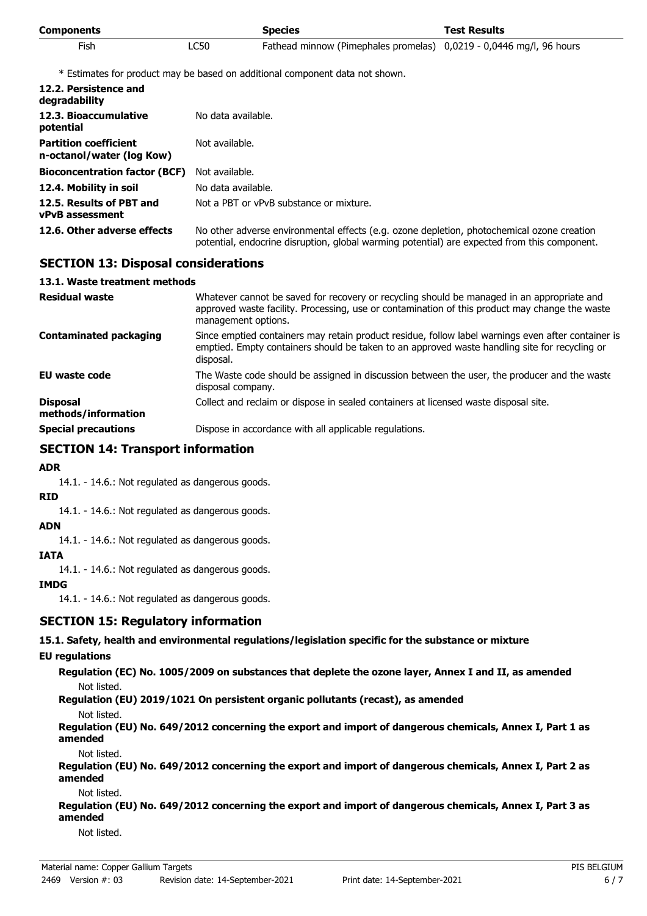| <b>Components</b> |      | <b>Species</b>                                                      | <b>Test Results</b> |
|-------------------|------|---------------------------------------------------------------------|---------------------|
| Fish              | LC50 | Fathead minnow (Pimephales promelas) 0,0219 - 0,0446 mg/l, 96 hours |                     |

\* Estimates for product may be based on additional component data not shown.

| 12.2. Persistence and<br>degradability                    |                                                                                                                                                                                            |  |
|-----------------------------------------------------------|--------------------------------------------------------------------------------------------------------------------------------------------------------------------------------------------|--|
| 12.3. Bioaccumulative<br>potential                        | No data available.                                                                                                                                                                         |  |
| <b>Partition coefficient</b><br>n-octanol/water (log Kow) | Not available.                                                                                                                                                                             |  |
| <b>Bioconcentration factor (BCF)</b>                      | Not available.                                                                                                                                                                             |  |
| 12.4. Mobility in soil                                    | No data available.                                                                                                                                                                         |  |
| 12.5. Results of PBT and<br><b>vPvB</b> assessment        | Not a PBT or vPvB substance or mixture.                                                                                                                                                    |  |
| 12.6. Other adverse effects                               | No other adverse environmental effects (e.g. ozone depletion, photochemical ozone creation<br>potential, endocrine disruption, global warming potential) are expected from this component. |  |

## **SECTION 13: Disposal considerations**

### **13.1. Waste treatment methods**

| <b>Residual waste</b>                  | Whatever cannot be saved for recovery or recycling should be managed in an appropriate and<br>approved waste facility. Processing, use or contamination of this product may change the waste<br>management options. |  |  |
|----------------------------------------|---------------------------------------------------------------------------------------------------------------------------------------------------------------------------------------------------------------------|--|--|
| <b>Contaminated packaging</b>          | Since emptied containers may retain product residue, follow label warnings even after container is<br>emptied. Empty containers should be taken to an approved waste handling site for recycling or<br>disposal.    |  |  |
| EU waste code                          | The Waste code should be assigned in discussion between the user, the producer and the waste<br>disposal company.                                                                                                   |  |  |
| <b>Disposal</b><br>methods/information | Collect and reclaim or dispose in sealed containers at licensed waste disposal site.                                                                                                                                |  |  |
| <b>Special precautions</b>             | Dispose in accordance with all applicable regulations.                                                                                                                                                              |  |  |

## **SECTION 14: Transport information**

#### **ADR**

14.1. - 14.6.: Not regulated as dangerous goods.

#### **RID**

14.1. - 14.6.: Not regulated as dangerous goods.

#### **ADN**

14.1. - 14.6.: Not regulated as dangerous goods.

### **IATA**

14.1. - 14.6.: Not regulated as dangerous goods.

### **IMDG**

14.1. - 14.6.: Not regulated as dangerous goods.

## **SECTION 15: Regulatory information**

### **15.1. Safety, health and environmental regulations/legislation specific for the substance or mixture**

## **EU regulations**

**Regulation (EC) No. 1005/2009 on substances that deplete the ozone layer, Annex I and II, as amended** Not listed.

**Regulation (EU) 2019/1021 On persistent organic pollutants (recast), as amended**

Not listed.

**Regulation (EU) No. 649/2012 concerning the export and import of dangerous chemicals, Annex I, Part 1 as amended**

Not listed.

**Regulation (EU) No. 649/2012 concerning the export and import of dangerous chemicals, Annex I, Part 2 as amended**

Not listed.

**Regulation (EU) No. 649/2012 concerning the export and import of dangerous chemicals, Annex I, Part 3 as amended**

Not listed.